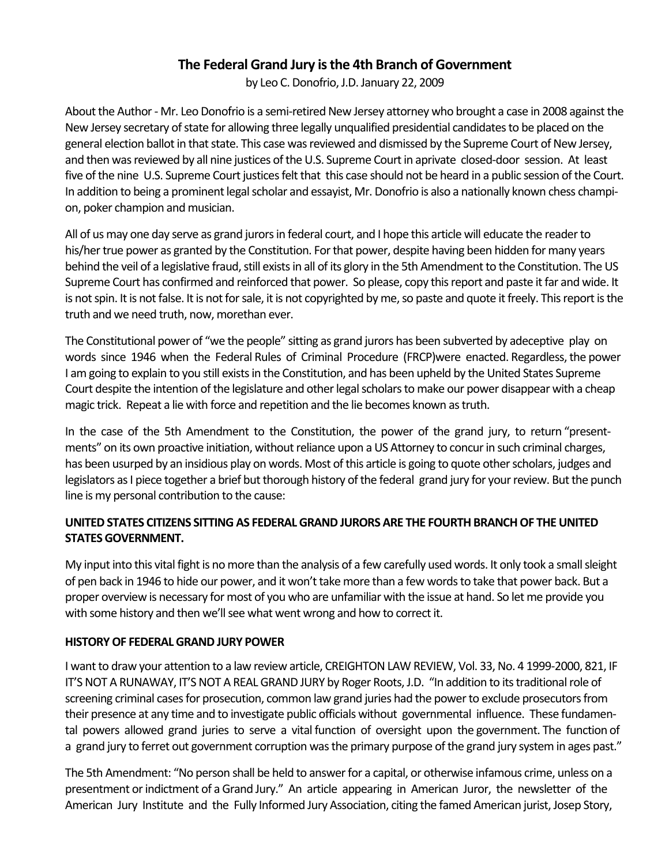# **The Federal Grand Jury is the 4th Branch of Government**

by Leo C. Donofrio, J.D. January 22, 2009

About the Author - Mr. Leo Donofrio is a semi-retired New Jersey attorney who brought a case in 2008 against the New Jersey secretary of state for allowing three legally unqualified presidential candidates to be placed on the general election ballot in that state. This case was reviewed and dismissed by the Supreme Court of New Jersey, and then was reviewed by all nine justices of the U.S. Supreme Court in aprivate closed-door session. At least five of the nine U.S. Supreme Court justices felt that this case should not be heard in a public session of the Court. In addition to being a prominent legal scholar and essayist, Mr. Donofrio is also a nationally known chess champion, poker champion and musician.

All of us may one day serve as grand jurors in federal court, and I hope this article will educate the reader to his/her true power as granted by the Constitution. For that power, despite having been hidden for many years behind the veil of a legislative fraud, still exists in all of its glory in the 5th Amendment to the Constitution. The US Supreme Court has confirmed and reinforced that power. So please, copy this report and paste it far and wide. It is not spin. It is not false. It is not for sale, it is not copyrighted by me, so paste and quote it freely. This report is the truth and we need truth, now, morethan ever.

The Constitutional power of "we the people" sitting as grand jurors has been subverted by adeceptive play on words since 1946 when the Federal Rules of Criminal Procedure (FRCP)were enacted. Regardless, the power I am going to explain to you still exists in the Constitution, and has been upheld by the United States Supreme Court despite the intention of the legislature and other legal scholars to make our power disappear with a cheap magic trick. Repeat a lie with force and repetition and the lie becomes known as truth.

In the case of the 5th Amendment to the Constitution, the power of the grand jury, to return "presentments" on its own proactive initiation, without reliance upon a US Attorney to concur in such criminal charges, has been usurped by an insidious play on words. Most of this article is going to quote other scholars, judges and legislators as I piece together a brief but thorough history of the federal grand jury for your review. But the punch line is my personal contribution to the cause:

## UNITED STATES CITIZENS SITTING AS FEDERAL GRAND JURORS ARE THE FOURTH BRANCH OF THE UNITED **STATES GOVERNMENT.**

My input into this vital fight is no more than the analysis of a few carefully used words. It only took a small sleight of pen back in 1946 to hide our power, and it won't take more than a few words to take that power back. But a proper overview is necessary for most of you who are unfamiliar with the issue at hand. So let me provide you with some history and then we'll see what went wrong and how to correct it.

## **HISTORY OF FEDERAL GRAND JURY POWER**

I want to draw your attention to a law review article, CREIGHTON LAW REVIEW, Vol. 33, No. 4 1999-2000, 821, IF IT'S NOT A RUNAWAY, IT'S NOT A REAL GRAND JURY by Roger Roots, J.D. "In addition to its traditional role of screening criminal cases for prosecution, common law grand juries had the power to exclude prosecutors from their presence at any time and to investigate public officials without governmental influence. These fundamental powers allowed grand juries to serve a vital function of oversight upon the government. The function of a grand jury to ferret out government corruption was the primary purpose of the grand jury system in ages past."

The 5th Amendment: "No person shall be held to answer for a capital, or otherwise infamous crime, unless on a presentment or indictment of a Grand Jury." An article appearing in American Juror, the newsletter of the American Jury Institute and the Fully Informed Jury Association, citing the famed American jurist, Josep Story,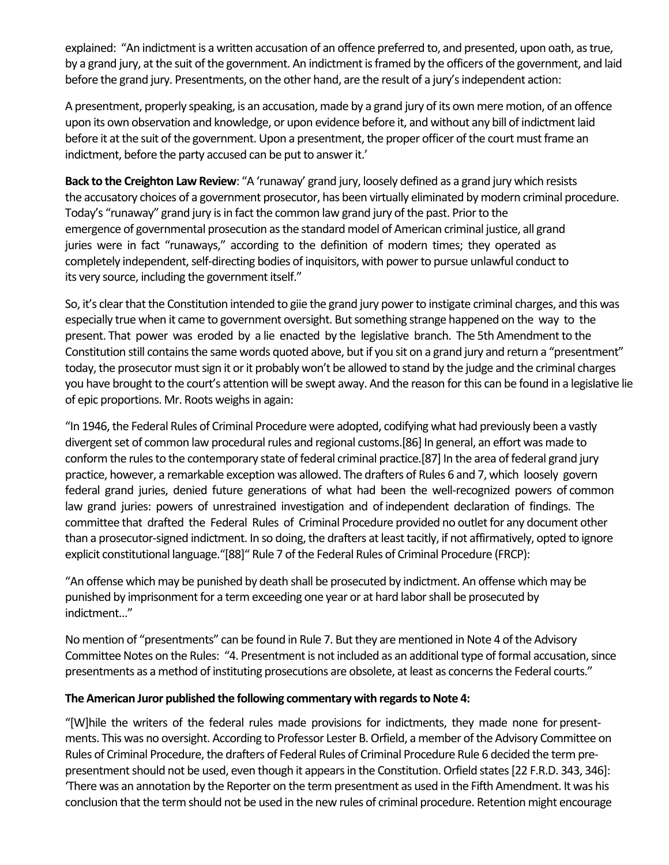explained: "An indictment is a written accusation of an offence preferred to, and presented, upon oath, as true, by a grand jury, at the suit of the government. An indictment is framed by the officers of the government, and laid before the grand jury. Presentments, on the other hand, are the result of a jury's independent action:

A presentment, properly speaking, is an accusation, made by a grand jury of its own mere motion, of an offence upon its own observation and knowledge, or upon evidence before it, and without any bill of indictment laid before it at the suit of the government. Upon a presentment, the proper officer of the court must frame an indictment, before the party accused can be put to answer it.'

**Back to the Creighton Law Review**: "A 'runaway' grand jury, loosely defined as a grand jury which resists the accusatory choices of a government prosecutor, has been virtually eliminated by modern criminal procedure. Today's "runaway" grand jury is in fact the common law grand jury of the past. Prior to the emergence of governmental prosecution as the standard model of American criminal justice, all grand juries were in fact "runaways," according to the definition of modern times; they operated as completely independent, self-directing bodies of inquisitors, with power to pursue unlawful conduct to its very source, including the government itself."

So, it's clear that the Constitution intended to giie the grand jury power to instigate criminal charges, and this was especially true when it came to government oversight. But something strange happened on the way to the present. That power was eroded by a lie enacted by the legislative branch. The 5th Amendment to the Constitution still contains the same words quoted above, but if you sit on a grand jury and return a "presentment" today, the prosecutor must sign it or it probably won't be allowed to stand by the judge and the criminal charges you have brought to the court's attention will be swept away. And the reason for this can be found in a legislative lie of epic proportions. Mr. Roots weighs in again:

"In 1946, the Federal Rules of Criminal Procedure were adopted, codifying what had previously been a vastly divergent set of common law procedural rules and regional customs.[86] In general, an effort was made to conform the rules to the contemporary state of federal criminal practice.[87] In the area of federal grand jury practice, however, a remarkable exception was allowed. The drafters of Rules 6 and 7, which loosely govern federal grand juries, denied future generations of what had been the well-recognized powers of common law grand juries: powers of unrestrained investigation and of independent declaration of findings. The committee that drafted the Federal Rules of Criminal Procedure provided no outlet for any document other than a prosecutor-signed indictment. In so doing, the drafters at least tacitly, if not affirmatively, opted to ignore explicit constitutional language."[88]" Rule 7 of the Federal Rules of Criminal Procedure (FRCP):

"An offense which may be punished by death shall be prosecuted by indictment. An offense which may be punished by imprisonment for a term exceeding one year or at hard labor shall be prosecuted by indictment..." 

No mention of "presentments" can be found in Rule 7. But they are mentioned in Note 4 of the Advisory Committee Notes on the Rules: "4. Presentment is not included as an additional type of formal accusation, since presentments as a method of instituting prosecutions are obsolete, at least as concerns the Federal courts."

## The American Juror published the following commentary with regards to Note 4:

"[W]hile the writers of the federal rules made provisions for indictments, they made none for presentments. This was no oversight. According to Professor Lester B. Orfield, a member of the Advisory Committee on Rules of Criminal Procedure, the drafters of Federal Rules of Criminal Procedure Rule 6 decided the term prepresentment should not be used, even though it appears in the Constitution. Orfield states [22 F.R.D. 343, 346]: 'There was an annotation by the Reporter on the term presentment as used in the Fifth Amendment. It was his conclusion that the term should not be used in the new rules of criminal procedure. Retention might encourage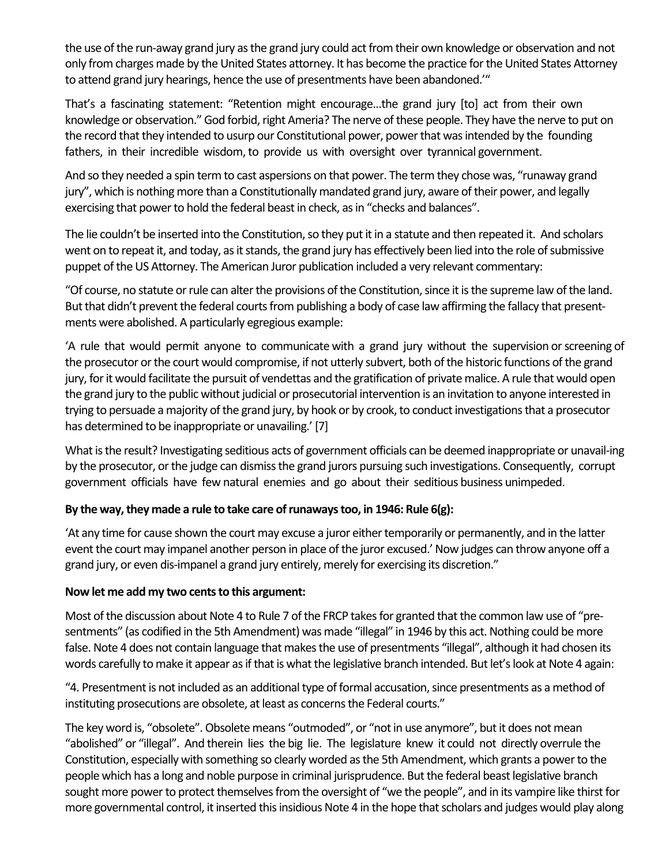the use of the run-away grand jury as the grand jury could act from their own knowledge or observation and not only from charges made by the United States attorney. It has become the practice for the United States Attorney to attend grand jury hearings, hence the use of presentments have been abandoned.'"

That's a fascinating statement: "Retention might encourage...the grand jury [to] act from their own knowledge or observation." God forbid, right Ameria? The nerve of these people. They have the nerve to put on the record that they intended to usurp our Constitutional power, power that was intended by the founding fathers, in their incredible wisdom, to provide us with oversight over tyrannical government.

And so they needed a spin term to cast aspersions on that power. The term they chose was, "runaway grand jury", which is nothing more than a Constitutionally mandated grand jury, aware of their power, and legally exercising that power to hold the federal beast in check, as in "checks and balances".

The lie couldn't be inserted into the Constitution, so they put it in a statute and then repeated it. And scholars went on to repeat it, and today, as it stands, the grand jury has effectively been lied into the role of submissive puppet of the US Attorney. The American Juror publication included a very relevant commentary:

"Of course, no statute or rule can alter the provisions of the Constitution, since it is the supreme law of the land. But that didn't prevent the federal courts from publishing a body of case law affirming the fallacy that presentments were abolished. A particularly egregious example:

'A rule that would permit anyone to communicate with a grand jury without the supervision or screening of the prosecutor or the court would compromise, if not utterly subvert, both of the historic functions of the grand jury, for it would facilitate the pursuit of vendettas and the gratification of private malice. A rule that would open the grand jury to the public without judicial or prosecutorial intervention is an invitation to anyone interested in trying to persuade a majority of the grand jury, by hook or by crook, to conduct investigations that a prosecutor has determined to be inappropriate or unavailing.' [7]

What is the result? Investigating seditious acts of government officials can be deemed inappropriate or unavail-ing by the prosecutor, or the judge can dismiss the grand jurors pursuing such investigations. Consequently, corrupt government officials have few natural enemies and go about their seditious business unimpeded.

## By the way, they made a rule to take care of runaways too, in 1946: Rule 6(g):

'At any time for cause shown the court may excuse a juror either temporarily or permanently, and in the latter event the court may impanel another person in place of the juror excused.' Now judges can throw anyone off a grand jury, or even dis-impanel a grand jury entirely, merely for exercising its discretion."

### Now let me add my two cents to this argument:

Most of the discussion about Note 4 to Rule 7 of the FRCP takes for granted that the common law use of "presentments" (as codified in the 5th Amendment) was made "illegal" in 1946 by this act. Nothing could be more false. Note 4 does not contain language that makes the use of presentments "illegal", although it had chosen its words carefully to make it appear as if that is what the legislative branch intended. But let's look at Note 4 again:

"4. Presentment is not included as an additional type of formal accusation, since presentments as a method of instituting prosecutions are obsolete, at least as concerns the Federal courts."

The key word is, "obsolete". Obsolete means "outmoded", or "not in use anymore", but it does not mean "abolished" or "illegal". And therein lies the big lie. The legislature knew it could not directly overrule the Constitution, especially with something so clearly worded as the 5th Amendment, which grants a power to the people which has a long and noble purpose in criminal jurisprudence. But the federal beast legislative branch sought more power to protect themselves from the oversight of "we the people", and in its vampire like thirst for more governmental control, it inserted this insidious Note 4 in the hope that scholars and judges would play along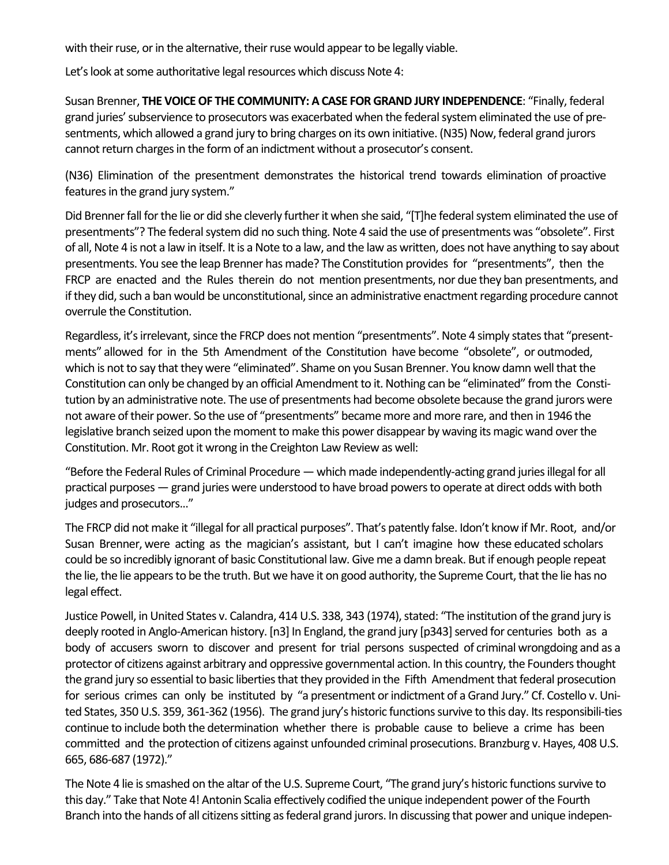with their ruse, or in the alternative, their ruse would appear to be legally viable.

Let's look at some authoritative legal resources which discuss Note 4:

Susan Brenner, THE VOICE OF THE COMMUNITY: A CASE FOR GRAND JURY INDEPENDENCE: "Finally, federal grand juries' subservience to prosecutors was exacerbated when the federal system eliminated the use of presentments, which allowed a grand jury to bring charges on its own initiative. (N35) Now, federal grand jurors cannot return charges in the form of an indictment without a prosecutor's consent.

(N36) Elimination of the presentment demonstrates the historical trend towards elimination of proactive features in the grand jury system."

Did Brenner fall for the lie or did she cleverly further it when she said, "[T]he federal system eliminated the use of presentments"? The federal system did no such thing. Note 4 said the use of presentments was "obsolete". First of all, Note 4 is not a law in itself. It is a Note to a law, and the law as written, does not have anything to say about presentments. You see the leap Brenner has made? The Constitution provides for "presentments", then the FRCP are enacted and the Rules therein do not mention presentments, nor due they ban presentments, and if they did, such a ban would be unconstitutional, since an administrative enactment regarding procedure cannot overrule the Constitution.

Regardless, it's irrelevant, since the FRCP does not mention "presentments". Note 4 simply states that "presentments" allowed for in the 5th Amendment of the Constitution have become "obsolete", or outmoded, which is not to say that they were "eliminated". Shame on you Susan Brenner. You know damn well that the Constitution can only be changed by an official Amendment to it. Nothing can be "eliminated" from the Constitution by an administrative note. The use of presentments had become obsolete because the grand jurors were not aware of their power. So the use of "presentments" became more and more rare, and then in 1946 the legislative branch seized upon the moment to make this power disappear by waving its magic wand over the Constitution. Mr. Root got it wrong in the Creighton Law Review as well:

"Before the Federal Rules of Criminal Procedure  $-$  which made independently-acting grand juries illegal for all practical purposes — grand juries were understood to have broad powers to operate at direct odds with both judges and prosecutors..."

The FRCP did not make it "illegal for all practical purposes". That's patently false. Idon't know if Mr. Root, and/or Susan Brenner, were acting as the magician's assistant, but I can't imagine how these educated scholars could be so incredibly ignorant of basic Constitutional law. Give me a damn break. But if enough people repeat the lie, the lie appears to be the truth. But we have it on good authority, the Supreme Court, that the lie has no legal effect.

Justice Powell, in United States v. Calandra, 414 U.S. 338, 343 (1974), stated: "The institution of the grand jury is deeply rooted in Anglo-American history. [n3] In England, the grand jury [p343] served for centuries both as a body of accusers sworn to discover and present for trial persons suspected of criminal wrongdoing and as a protector of citizens against arbitrary and oppressive governmental action. In this country, the Founders thought the grand jury so essential to basic liberties that they provided in the Fifth Amendment that federal prosecution for serious crimes can only be instituted by "a presentment or indictment of a Grand Jury." Cf. Costello v. United States, 350 U.S. 359, 361-362 (1956). The grand jury's historic functions survive to this day. Its responsibili-ties continue to include both the determination whether there is probable cause to believe a crime has been committed and the protection of citizens against unfounded criminal prosecutions. Branzburg v. Hayes, 408 U.S. 665, 686-687 (1972)." 

The Note 4 lie is smashed on the altar of the U.S. Supreme Court, "The grand jury's historic functions survive to this day." Take that Note 4! Antonin Scalia effectively codified the unique independent power of the Fourth Branch into the hands of all citizens sitting as federal grand jurors. In discussing that power and unique indepen